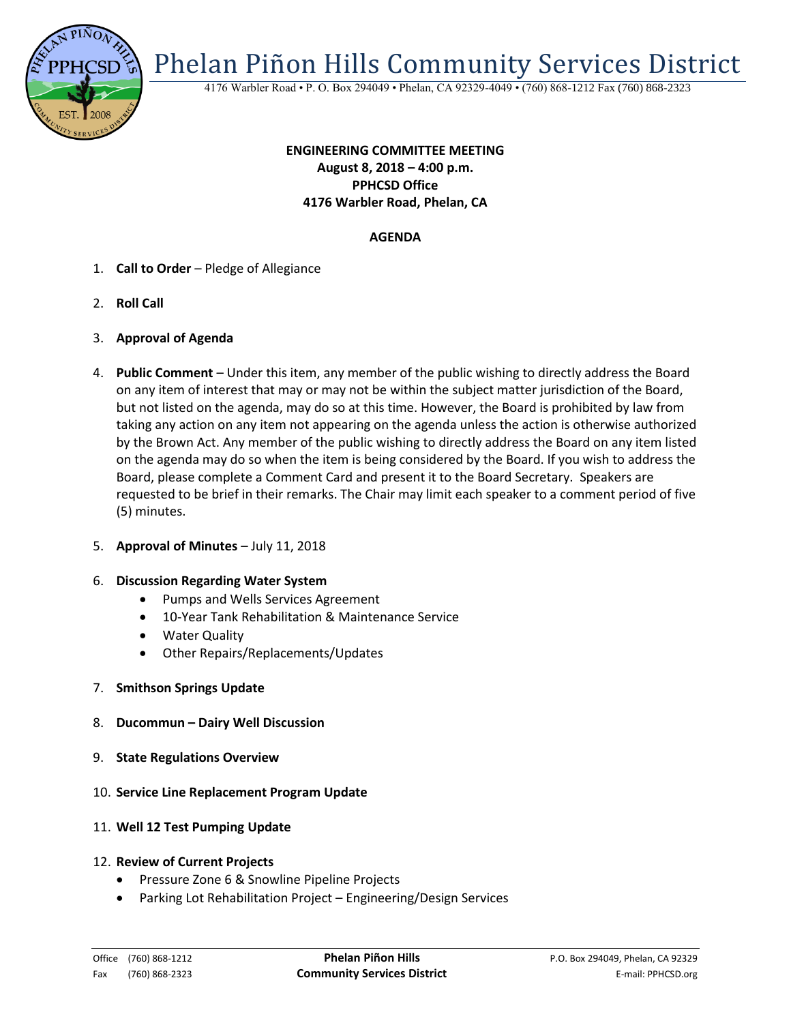

Phelan Piñon Hills Community Services District

4176 Warbler Road • P. O. Box 294049 • Phelan, CA 92329-4049 • (760) 868-1212 Fax (760) 868-2323

# **ENGINEERING COMMITTEE MEETING August 8, 2018 – 4:00 p.m. PPHCSD Office 4176 Warbler Road, Phelan, CA**

## **AGENDA**

- 1. **Call to Order** Pledge of Allegiance
- 2. **Roll Call**
- 3. **Approval of Agenda**
- 4. **Public Comment**  Under this item, any member of the public wishing to directly address the Board on any item of interest that may or may not be within the subject matter jurisdiction of the Board, but not listed on the agenda, may do so at this time. However, the Board is prohibited by law from taking any action on any item not appearing on the agenda unless the action is otherwise authorized by the Brown Act. Any member of the public wishing to directly address the Board on any item listed on the agenda may do so when the item is being considered by the Board. If you wish to address the Board, please complete a Comment Card and present it to the Board Secretary. Speakers are requested to be brief in their remarks. The Chair may limit each speaker to a comment period of five (5) minutes.
- 5. **Approval of Minutes**  July 11, 2018

#### 6. **Discussion Regarding Water System**

- Pumps and Wells Services Agreement
- 10-Year Tank Rehabilitation & Maintenance Service
- Water Quality
- Other Repairs/Replacements/Updates
- 7. **Smithson Springs Update**
- 8. **Ducommun – Dairy Well Discussion**
- 9. **State Regulations Overview**
- 10. **Service Line Replacement Program Update**
- 11. **Well 12 Test Pumping Update**
- 12. **Review of Current Projects**
	- Pressure Zone 6 & Snowline Pipeline Projects
	- Parking Lot Rehabilitation Project Engineering/Design Services